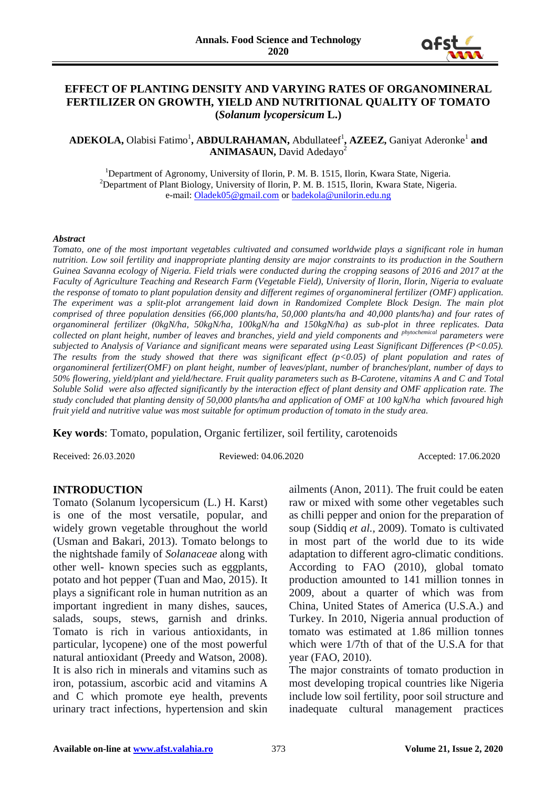

## **EFFECT OF PLANTING DENSITY AND VARYING RATES OF ORGANOMINERAL FERTILIZER ON GROWTH, YIELD AND NUTRITIONAL QUALITY OF TOMATO (***Solanum lycopersicum* **L.)**

ADEKOLA, Olabisi Fatimo<sup>1</sup>, ABDULRAHAMAN, Abdullateef<sup>1</sup>, AZEEZ, Ganiyat Aderonke<sup>1</sup> and **ANIMASAUN, David Adedayo<sup>2</sup>** 

<sup>1</sup>Department of Agronomy, University of Ilorin, P. M. B. 1515, Ilorin, Kwara State, Nigeria. <sup>2</sup>Department of Plant Biology, University of Ilorin, P. M. B. 1515, Ilorin, Kwara State, Nigeria. e-mail: [Oladek05@gmail.com](mailto:Oladek05@gmail.com) or [badekola@unilorin.edu.ng](mailto:badekola@unilorin.edu.ng)

#### *Abstract*

*Tomato, one of the most important vegetables cultivated and consumed worldwide plays a significant role in human nutrition. Low soil fertility and inappropriate planting density are major constraints to its production in the Southern Guinea Savanna ecology of Nigeria. Field trials were conducted during the cropping seasons of 2016 and 2017 at the Faculty of Agriculture Teaching and Research Farm (Vegetable Field), University of Ilorin, Ilorin, Nigeria to evaluate the response of tomato to plant population density and different regimes of organomineral fertilizer (OMF) application. The experiment was a split-plot arrangement laid down in Randomized Complete Block Design. The main plot comprised of three population densities (66,000 plants/ha, 50,000 plants/ha and 40,000 plants/ha) and four rates of organomineral fertilizer (0kgN/ha, 50kgN/ha, 100kgN/ha and 150kgN/ha) as sub-plot in three replicates. Data collected on plant height, number of leaves and branches, yield and yield components and phytochemical parameters were subjected to Analysis of Variance and significant means were separated using Least Significant Differences (P<0.05). The results from the study showed that there was significant effect (p<0.05) of plant population and rates of organomineral fertilizer(OMF) on plant height, number of leaves/plant, number of branches/plant, number of days to 50% flowering, yield/plant and yield/hectare. Fruit quality parameters such as B-Carotene, vitamins A and C and Total Soluble Solid were also affected significantly by the interaction effect of plant density and OMF application rate. The study concluded that planting density of 50,000 plants/ha and application of OMF at 100 kgN/ha which favoured high fruit yield and nutritive value was most suitable for optimum production of tomato in the study area.*

**Key words**: Tomato, population, Organic fertilizer, soil fertility, carotenoids

Received: 26.03.2020 Reviewed: 04.06.2020 Accepted: 17.06.2020

## **INTRODUCTION**

Tomato (Solanum lycopersicum (L.) H. Karst) is one of the most versatile, popular, and widely grown vegetable throughout the world (Usman and Bakari, 2013). Tomato belongs to the nightshade family of *Solanaceae* along with other well- known species such as eggplants, potato and hot pepper (Tuan and Mao, 2015). It plays a significant role in human nutrition as an important ingredient in many dishes, sauces, salads, soups, stews, garnish and drinks. Tomato is rich in various antioxidants, in particular, lycopene) one of the most powerful natural antioxidant (Preedy and Watson, 2008). It is also rich in minerals and vitamins such as iron, potassium, ascorbic acid and vitamins A and C which promote eye health, prevents urinary tract infections, hypertension and skin

ailments (Anon, 2011). The fruit could be eaten raw or mixed with some other vegetables such as chilli pepper and onion for the preparation of soup (Siddiq *et al.,* 2009). Tomato is cultivated in most part of the world due to its wide adaptation to different agro-climatic conditions. According to FAO (2010), global tomato production amounted to 141 million tonnes in 2009, about a quarter of which was from China, United States of America (U.S.A.) and Turkey. In 2010, Nigeria annual production of tomato was estimated at 1.86 million tonnes which were 1/7th of that of the U.S.A for that year (FAO, 2010).

The major constraints of tomato production in most developing tropical countries like Nigeria include low soil fertility, poor soil structure and inadequate cultural management practices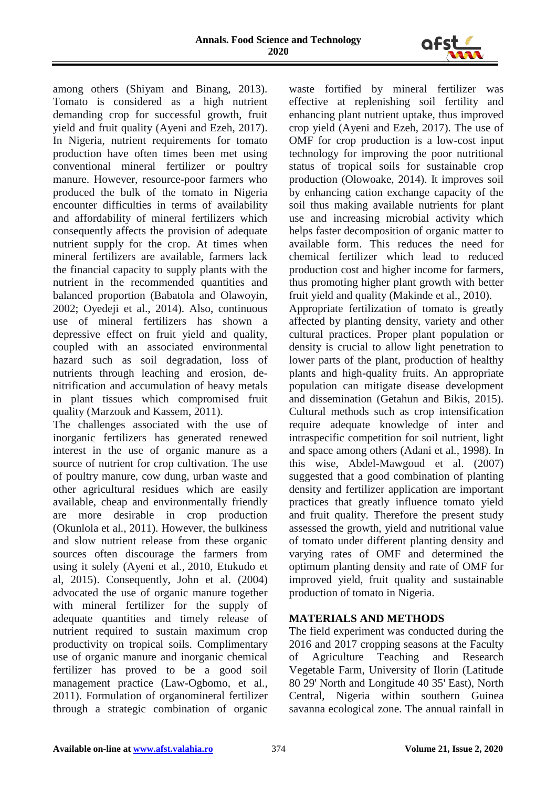

among others (Shiyam and Binang, 2013). Tomato is considered as a high nutrient demanding crop for successful growth, fruit yield and fruit quality (Ayeni and Ezeh, 2017). In Nigeria, nutrient requirements for tomato production have often times been met using conventional mineral fertilizer or poultry manure. However, resource-poor farmers who produced the bulk of the tomato in Nigeria encounter difficulties in terms of availability and affordability of mineral fertilizers which consequently affects the provision of adequate nutrient supply for the crop. At times when mineral fertilizers are available, farmers lack the financial capacity to supply plants with the nutrient in the recommended quantities and balanced proportion (Babatola and Olawoyin, 2002; Oyedeji et al., 2014). Also, continuous use of mineral fertilizers has shown a depressive effect on fruit yield and quality, coupled with an associated environmental hazard such as soil degradation, loss of nutrients through leaching and erosion, denitrification and accumulation of heavy metals in plant tissues which compromised fruit quality (Marzouk and Kassem, 2011).

The challenges associated with the use of inorganic fertilizers has generated renewed interest in the use of organic manure as a source of nutrient for crop cultivation. The use of poultry manure, cow dung, urban waste and other agricultural residues which are easily available, cheap and environmentally friendly are more desirable in crop production (Okunlola et al., 2011). However, the bulkiness and slow nutrient release from these organic sources often discourage the farmers from using it solely (Ayeni et al*.,* 2010, Etukudo et al, 2015). Consequently, John et al. (2004) advocated the use of organic manure together with mineral fertilizer for the supply of adequate quantities and timely release of nutrient required to sustain maximum crop productivity on tropical soils. Complimentary use of organic manure and inorganic chemical fertilizer has proved to be a good soil management practice (Law-Ogbomo, et al., 2011). Formulation of organomineral fertilizer through a strategic combination of organic

waste fortified by mineral fertilizer was effective at replenishing soil fertility and enhancing plant nutrient uptake, thus improved crop yield (Ayeni and Ezeh, 2017). The use of OMF for crop production is a low-cost input technology for improving the poor nutritional status of tropical soils for sustainable crop production (Olowoake, 2014). It improves soil by enhancing cation exchange capacity of the soil thus making available nutrients for plant use and increasing microbial activity which helps faster decomposition of organic matter to available form. This reduces the need for chemical fertilizer which lead to reduced production cost and higher income for farmers, thus promoting higher plant growth with better fruit yield and quality (Makinde et al., 2010). Appropriate fertilization of tomato is greatly affected by planting density, variety and other cultural practices. Proper plant population or density is crucial to allow light penetration to lower parts of the plant, production of healthy plants and high-quality fruits. An appropriate population can mitigate disease development and dissemination (Getahun and Bikis, 2015). Cultural methods such as crop intensification require adequate knowledge of inter and intraspecific competition for soil nutrient, light and space among others (Adani et al*.,* 1998). In this wise, Abdel-Mawgoud et al. (2007) suggested that a good combination of planting density and fertilizer application are important practices that greatly influence tomato yield and fruit quality. Therefore the present study assessed the growth, yield and nutritional value of tomato under different planting density and varying rates of OMF and determined the optimum planting density and rate of OMF for improved yield, fruit quality and sustainable production of tomato in Nigeria.

# **MATERIALS AND METHODS**

The field experiment was conducted during the 2016 and 2017 cropping seasons at the Faculty of Agriculture Teaching and Research Vegetable Farm, University of Ilorin (Latitude 80 29' North and Longitude 40 35' East), North Central, Nigeria within southern Guinea savanna ecological zone. The annual rainfall in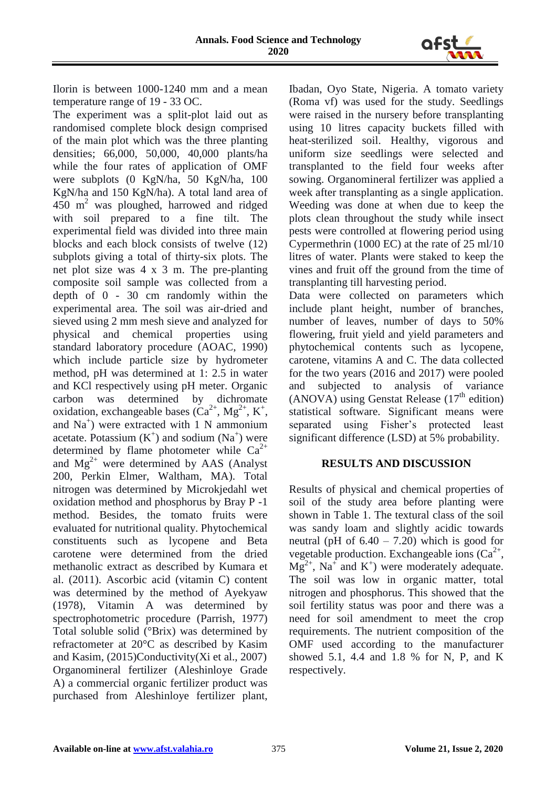

Ilorin is between 1000-1240 mm and a mean temperature range of 19 - 33 OC.

The experiment was a split-plot laid out as randomised complete block design comprised of the main plot which was the three planting densities; 66,000, 50,000, 40,000 plants/ha while the four rates of application of OMF were subplots (0 KgN/ha, 50 KgN/ha, 100 KgN/ha and 150 KgN/ha). A total land area of 450 m<sup>2</sup> was ploughed, harrowed and ridged with soil prepared to a fine tilt. The experimental field was divided into three main blocks and each block consists of twelve (12) subplots giving a total of thirty-six plots. The net plot size was 4 x 3 m. The pre-planting composite soil sample was collected from a depth of 0 - 30 cm randomly within the experimental area. The soil was air-dried and sieved using 2 mm mesh sieve and analyzed for physical and chemical properties using standard laboratory procedure (AOAC, 1990) which include particle size by hydrometer method, pH was determined at 1: 2.5 in water and KCl respectively using pH meter. Organic carbon was determined by dichromate oxidation, exchangeable bases  $(Ca^{2+}, Mg^{2+}, K^+,$ and Na<sup>+</sup>) were extracted with 1 N ammonium acetate. Potassium  $(K^+)$  and sodium  $(Na^+)$  were determined by flame photometer while  $Ca^{2+}$ and  $Mg^{2+}$  were determined by AAS (Analyst 200, Perkin Elmer, Waltham, MA). Total nitrogen was determined by Microkjedahl wet oxidation method and phosphorus by Bray P -1 method. Besides, the tomato fruits were evaluated for nutritional quality. Phytochemical constituents such as lycopene and Beta carotene were determined from the dried methanolic extract as described by Kumara et al. (2011). Ascorbic acid (vitamin C) content was determined by the method of Ayekyaw (1978), Vitamin A was determined by spectrophotometric procedure (Parrish, 1977) Total soluble solid (°Brix) was determined by refractometer at 20°C as described by Kasim and Kasim, (2015)Conductivity(Xi et al., 2007) Organomineral fertilizer (Aleshinloye Grade A) a commercial organic fertilizer product was purchased from Aleshinloye fertilizer plant,

Ibadan, Oyo State, Nigeria. A tomato variety (Roma vf) was used for the study. Seedlings were raised in the nursery before transplanting using 10 litres capacity buckets filled with heat-sterilized soil. Healthy, vigorous and uniform size seedlings were selected and transplanted to the field four weeks after sowing. Organomineral fertilizer was applied a week after transplanting as a single application. Weeding was done at when due to keep the plots clean throughout the study while insect pests were controlled at flowering period using Cypermethrin (1000 EC) at the rate of 25 ml/10 litres of water. Plants were staked to keep the vines and fruit off the ground from the time of transplanting till harvesting period.

Data were collected on parameters which include plant height, number of branches, number of leaves, number of days to 50% flowering, fruit yield and yield parameters and phytochemical contents such as lycopene, carotene, vitamins A and C. The data collected for the two years (2016 and 2017) were pooled and subjected to analysis of variance (ANOVA) using Genstat Release  $(17<sup>th</sup>$  edition) statistical software. Significant means were separated using Fisher's protected least significant difference (LSD) at 5% probability.

# **RESULTS AND DISCUSSION**

Results of physical and chemical properties of soil of the study area before planting were shown in Table 1. The textural class of the soil was sandy loam and slightly acidic towards neutral (pH of  $6.40 - 7.20$ ) which is good for vegetable production. Exchangeable ions  $(Ca^{2+})$ ,  $Mg^{2+}$ , Na<sup>+</sup> and K<sup>+</sup>) were moderately adequate. The soil was low in organic matter, total nitrogen and phosphorus. This showed that the soil fertility status was poor and there was a need for soil amendment to meet the crop requirements. The nutrient composition of the OMF used according to the manufacturer showed 5.1, 4.4 and 1.8 % for N, P, and K respectively.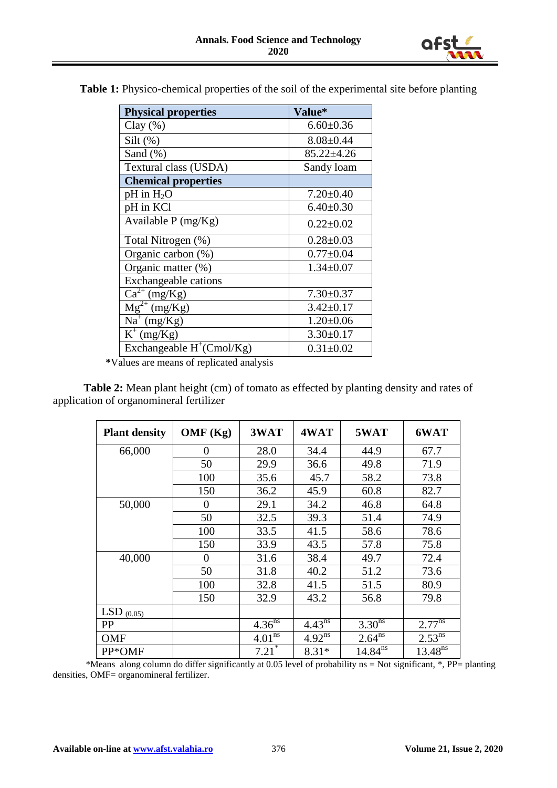

| <b>Physical properties</b>          | <b>Value*</b>    |
|-------------------------------------|------------------|
| Clay $(\% )$                        | $6.60 \pm 0.36$  |
| $Silt$ (%)                          | $8.08 \pm 0.44$  |
| Sand $(\%)$                         | $85.22 \pm 4.26$ |
| Textural class (USDA)               | Sandy loam       |
| <b>Chemical properties</b>          |                  |
| $pH$ in $H_2O$                      | $7.20 \pm 0.40$  |
| pH in KCl                           | $6.40 \pm 0.30$  |
| Available $P$ (mg/Kg)               | $0.22 \pm 0.02$  |
| Total Nitrogen (%)                  | $0.28 \pm 0.03$  |
| Organic carbon (%)                  | $0.77 + 0.04$    |
| Organic matter (%)                  | $1.34 \pm 0.07$  |
| <b>Exchangeable cations</b>         |                  |
| $\overline{\text{Ca}^{2+}}$ (mg/Kg) | $7.30 \pm 0.37$  |
| $\overline{\text{Mg}}^{2+}$ (mg/Kg) | $3.42 \pm 0.17$  |
| $Na^+(mg/Kg)$                       | $1.20 \pm 0.06$  |
| $K^+$ (mg/Kg)                       | $3.30 \pm 0.17$  |
| Exchangeable $H^+(Cmol/Kg)$         | $0.31 \pm 0.02$  |

**Table 1:** Physico-chemical properties of the soil of the experimental site before planting

 **\***Values are means of replicated analysis

**Table 2:** Mean plant height (cm) of tomato as effected by planting density and rates of application of organomineral fertilizer

| <b>Plant density</b> | OMF(Kg)        | 3WAT                   | 4WAT                   | 5WAT               | 6WAT              |
|----------------------|----------------|------------------------|------------------------|--------------------|-------------------|
| 66,000               | $\theta$       | 28.0                   | 34.4                   | 44.9               | 67.7              |
|                      | 50             | 29.9                   | 36.6                   | 49.8               | 71.9              |
|                      | 100            | 35.6                   | 45.7                   | 58.2               | 73.8              |
|                      | 150            | 36.2                   | 45.9                   | 60.8               | 82.7              |
| 50,000               | $\theta$       | 29.1                   | 34.2                   | 46.8               | 64.8              |
|                      | 50             | 32.5                   | 39.3                   | 51.4               | 74.9              |
|                      | 100            | 33.5                   | 41.5                   | 58.6               | 78.6              |
|                      | 150            | 33.9                   | 43.5                   | 57.8               | 75.8              |
| 40,000               | $\overline{0}$ | 31.6                   | 38.4                   | 49.7               | 72.4              |
|                      | 50             | 31.8                   | 40.2                   | 51.2               | 73.6              |
|                      | 100            | 32.8                   | 41.5                   | 51.5               | 80.9              |
|                      | 150            | 32.9                   | 43.2                   | 56.8               | 79.8              |
| LSD $(0.05)$         |                |                        |                        |                    |                   |
| <b>PP</b>            |                | $4.36^{n\overline{s}}$ | $4.43^{\overline{ns}}$ | 3.30 <sup>ns</sup> | $2.77^{n\bar{s}}$ |
| <b>OMF</b>           |                | 4.01 <sup>ns</sup>     | $4.92^{ns}$            | $2.64^{ns}$        | $2.53^{ns}$       |
| PP*OMF               |                | $7.21$ <sup>*</sup>    | $8.31*$                | $14.84^{ns}$       | $13.48^{ns}$      |

 \*Means along column do differ significantly at 0.05 level of probability ns = Not significant, \*, PP= planting densities, OMF= organomineral fertilizer.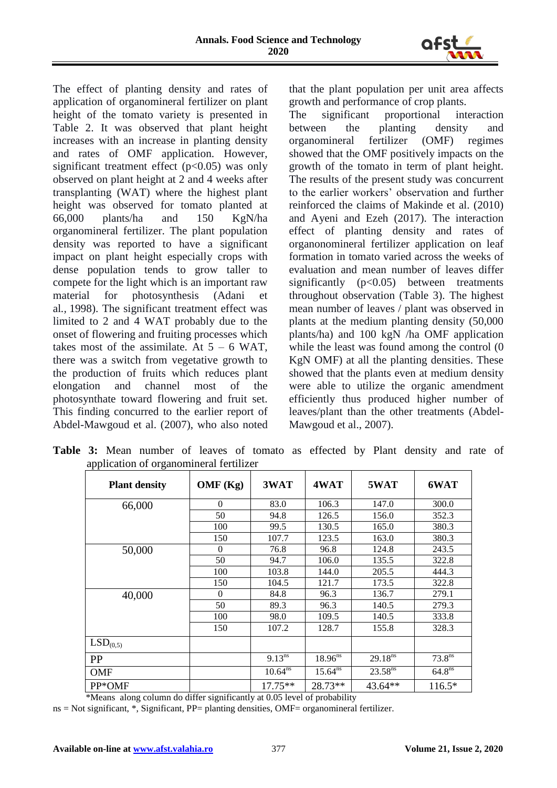

The effect of planting density and rates of application of organomineral fertilizer on plant height of the tomato variety is presented in Table 2. It was observed that plant height increases with an increase in planting density and rates of OMF application. However, significant treatment effect  $(p<0.05)$  was only observed on plant height at 2 and 4 weeks after transplanting (WAT) where the highest plant height was observed for tomato planted at 66,000 plants/ha and 150 KgN/ha organomineral fertilizer. The plant population density was reported to have a significant impact on plant height especially crops with dense population tends to grow taller to compete for the light which is an important raw material for photosynthesis (Adani et al*.,* 1998). The significant treatment effect was limited to 2 and 4 WAT probably due to the onset of flowering and fruiting processes which takes most of the assimilate. At  $5 - 6$  WAT, there was a switch from vegetative growth to the production of fruits which reduces plant elongation and channel most of the photosynthate toward flowering and fruit set. This finding concurred to the earlier report of Abdel-Mawgoud et al. (2007), who also noted

that the plant population per unit area affects growth and performance of crop plants.

The significant proportional interaction<br>between the planting density and the planting density and organomineral fertilizer (OMF) regimes showed that the OMF positively impacts on the growth of the tomato in term of plant height. The results of the present study was concurrent to the earlier workers' observation and further reinforced the claims of Makinde et al. (2010) and Ayeni and Ezeh (2017). The interaction effect of planting density and rates of organonomineral fertilizer application on leaf formation in tomato varied across the weeks of evaluation and mean number of leaves differ significantly  $(p<0.05)$  between treatments throughout observation (Table 3). The highest mean number of leaves / plant was observed in plants at the medium planting density (50,000 plants/ha) and 100 kgN /ha OMF application while the least was found among the control  $(0)$ KgN OMF) at all the planting densities. These showed that the plants even at medium density were able to utilize the organic amendment efficiently thus produced higher number of leaves/plant than the other treatments (Abdel-Mawgoud et al., 2007).

|  |                                         |  |  | <b>Table 3:</b> Mean number of leaves of tomato as effected by Plant density and rate of |  |  |  |
|--|-----------------------------------------|--|--|------------------------------------------------------------------------------------------|--|--|--|
|  | application of organomineral fertilizer |  |  |                                                                                          |  |  |  |

| <b>Plant density</b> | OMF(Kg)  | 3WAT                   | 4WAT         | 5WAT         | 6WAT               |
|----------------------|----------|------------------------|--------------|--------------|--------------------|
| 66,000               | $\Omega$ | 83.0                   | 106.3        | 147.0        | 300.0              |
|                      | 50       | 94.8                   | 126.5        | 156.0        | 352.3              |
|                      | 100      | 99.5                   | 130.5        | 165.0        | 380.3              |
|                      | 150      | 107.7                  | 123.5        | 163.0        | 380.3              |
| 50,000               | $\Omega$ | 76.8                   | 96.8         | 124.8        | 243.5              |
|                      | 50       | 94.7                   | 106.0        | 135.5        | 322.8              |
|                      | 100      | 103.8                  | 144.0        | 205.5        | 444.3              |
|                      | 150      | 104.5                  | 121.7        | 173.5        | 322.8              |
| 40,000               | $\theta$ | 84.8                   | 96.3         | 136.7        | 279.1              |
|                      | 50       | 89.3                   | 96.3         | 140.5        | 279.3              |
|                      | 100      | 98.0                   | 109.5        | 140.5        | 333.8              |
|                      | 150      | 107.2                  | 128.7        | 155.8        | 328.3              |
| LSD <sub>(0,5)</sub> |          |                        |              |              |                    |
| <b>PP</b>            |          | $9.13^{n\overline{s}}$ | $18.96^{ns}$ | $29.18^{ns}$ | 73.8 <sup>ns</sup> |
| <b>OMF</b>           |          | $10.64^{ns}$           | $15.64^{ns}$ | $23.58^{ns}$ | 64.8 <sup>ns</sup> |
| PP*OMF               |          | 17.75**                | 28.73**      | $43.64**$    | $116.5*$           |

\*Means along column do differ significantly at 0.05 level of probability

ns = Not significant, \*, Significant, PP= planting densities, OMF= organomineral fertilizer.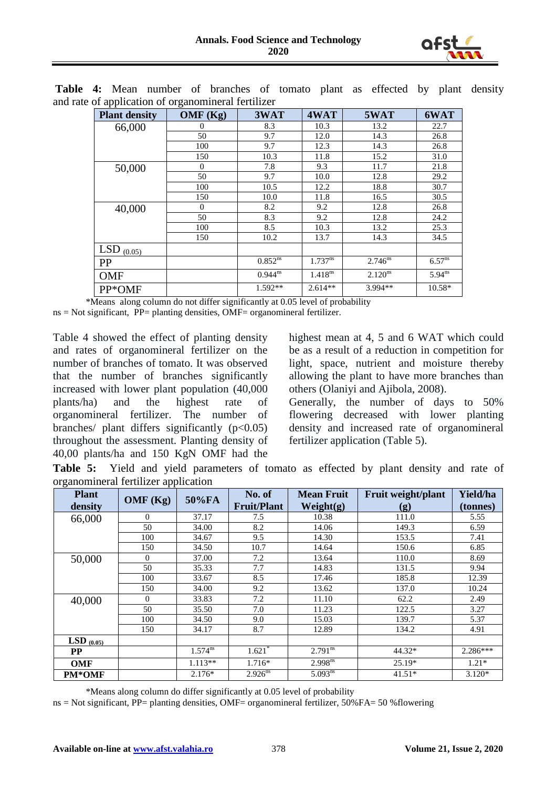

| . .<br><b>Plant density</b> | OMF (Kg)       | 3WAT                    | 4WAT                | 5WAT                | 6WAT                          |
|-----------------------------|----------------|-------------------------|---------------------|---------------------|-------------------------------|
| 66,000                      | 0              | 8.3                     | 10.3                | 13.2                | 22.7                          |
|                             | 50             | 9.7                     | 12.0                | 14.3                | 26.8                          |
|                             | 100            | 9.7                     | 12.3                | 14.3                | 26.8                          |
|                             | 150            | 10.3                    | 11.8                | 15.2                | 31.0                          |
| 50,000                      | $\overline{0}$ | 7.8                     | 9.3                 | 11.7                | 21.8                          |
|                             | 50             | 9.7                     | 10.0                | 12.8                | 29.2                          |
|                             | 100            | 10.5                    | 12.2                | 18.8                | 30.7                          |
|                             | 150            | 10.0                    | 11.8                | 16.5                | 30.5                          |
| 40,000                      | $\mathbf{0}$   | 8.2                     | 9.2                 | 12.8                | 26.8                          |
|                             | 50             | 8.3                     | 9.2                 | 12.8                | 24.2                          |
|                             | 100            | 8.5                     | 10.3                | 13.2                | 25.3                          |
|                             | 150            | 10.2                    | 13.7                | 14.3                | 34.5                          |
| LSD $(0.05)$                |                |                         |                     |                     |                               |
| PP                          |                | $0.852^{ns}$            | $1.737^{ns}$        | $2.746^{ns}$        | $6.57^{\overline{\text{ns}}}$ |
| <b>OMF</b>                  |                | $0.944^{n\overline{s}}$ | 1.418 <sup>ns</sup> | 2.120 <sup>ns</sup> | $5.94^{n\overline{s}}$        |
| PP*OMF                      |                | $1.592**$               | $2.614**$           | 3.994**             | 10.58*                        |

**Table 4:** Mean number of branches of tomato plant as effected by plant density and rate of application of organomineral fertilizer

\*Means along column do not differ significantly at 0.05 level of probability

ns = Not significant, PP= planting densities, OMF= organomineral fertilizer.

Table 4 showed the effect of planting density and rates of organomineral fertilizer on the number of branches of tomato. It was observed that the number of branches significantly increased with lower plant population (40,000 plants/ha) and the highest rate of organomineral fertilizer. The number of branches/ plant differs significantly  $(p<0.05)$ throughout the assessment. Planting density of 40,00 plants/ha and 150 KgN OMF had the highest mean at 4, 5 and 6 WAT which could be as a result of a reduction in competition for light, space, nutrient and moisture thereby allowing the plant to have more branches than others (Olaniyi and Ajibola, 2008).

Generally, the number of days to 50% flowering decreased with lower planting density and increased rate of organomineral fertilizer application (Table 5).

**Table 5:** Yield and yield parameters of tomato as effected by plant density and rate of organomineral fertilizer application

| <b>Plant</b><br>density | . .<br>OMF(Kg) | 50%FA                          | No. of<br><b>Fruit/Plant</b> | <b>Mean Fruit</b><br>Weight(g) | Fruit weight/plant<br>(g) | Yield/ha<br>(tonnes) |
|-------------------------|----------------|--------------------------------|------------------------------|--------------------------------|---------------------------|----------------------|
| 66,000                  | $\Omega$       | 37.17                          | 7.5                          | 10.38                          | 111.0                     | 5.55                 |
|                         | 50             | 34.00                          | 8.2                          | 14.06                          | 149.3                     | 6.59                 |
|                         | 100            | 34.67                          | 9.5                          | 14.30                          | 153.5                     | 7.41                 |
|                         | 150            | 34.50                          | 10.7                         | 14.64                          | 150.6                     | 6.85                 |
| 50,000                  | $\overline{0}$ | 37.00                          | 7.2                          | 13.64                          | 110.0                     | 8.69                 |
|                         | 50             | 35.33                          | 7.7                          | 14.83                          | 131.5                     | 9.94                 |
|                         | 100            | 33.67                          | 8.5                          | 17.46                          | 185.8                     | 12.39                |
|                         | 150            | 34.00                          | 9.2                          | 13.62                          | 137.0                     | 10.24                |
| 40,000                  | $\Omega$       | 33.83                          | 7.2                          | 11.10                          | 62.2                      | 2.49                 |
|                         | 50             | 35.50                          | 7.0                          | 11.23                          | 122.5                     | 3.27                 |
|                         | 100            | 34.50                          | 9.0                          | 15.03                          | 139.7                     | 5.37                 |
|                         | 150            | 34.17                          | 8.7                          | 12.89                          | 134.2                     | 4.91                 |
| LSD $(0.05)$            |                |                                |                              |                                |                           |                      |
| $\bf PP$                |                | $1.574^{\overline{\text{ns}}}$ | $1.621$ <sup>*</sup>         | $2.791^{ns}$                   | 44.32*                    | $2.286***$           |
| <b>OMF</b>              |                | $1.113**$                      | $1.716*$                     | $2.998^{ns}$                   | 25.19*                    | $1.21*$              |
| <b>PM*OMF</b>           |                | $2.176*$                       | $2.926^{ns}$                 | $5.093^{ns}$                   | $41.51*$                  | $3.120*$             |

\*Means along column do differ significantly at 0.05 level of probability

ns = Not significant, PP= planting densities, OMF= organomineral fertilizer, 50%FA= 50 %flowering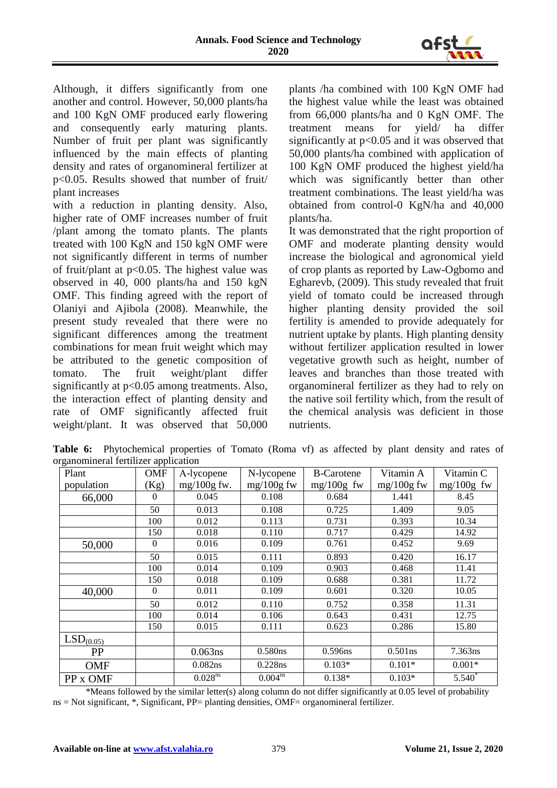

Although, it differs significantly from one another and control. However, 50,000 plants/ha and 100 KgN OMF produced early flowering and consequently early maturing plants. Number of fruit per plant was significantly influenced by the main effects of planting density and rates of organomineral fertilizer at p<0.05. Results showed that number of fruit/ plant increases

with a reduction in planting density. Also, higher rate of OMF increases number of fruit /plant among the tomato plants. The plants treated with 100 KgN and 150 kgN OMF were not significantly different in terms of number of fruit/plant at p<0.05. The highest value was observed in 40, 000 plants/ha and 150 kgN OMF. This finding agreed with the report of Olaniyi and Ajibola (2008). Meanwhile, the present study revealed that there were no significant differences among the treatment combinations for mean fruit weight which may be attributed to the genetic composition of tomato. The fruit weight/plant differ significantly at  $p<0.05$  among treatments. Also, the interaction effect of planting density and rate of OMF significantly affected fruit weight/plant. It was observed that 50,000 plants /ha combined with 100 KgN OMF had the highest value while the least was obtained from 66,000 plants/ha and 0 KgN OMF. The treatment means for yield/ ha differ significantly at p<0.05 and it was observed that 50,000 plants/ha combined with application of 100 KgN OMF produced the highest yield/ha which was significantly better than other treatment combinations. The least yield/ha was obtained from control-0 KgN/ha and 40,000 plants/ha.

It was demonstrated that the right proportion of OMF and moderate planting density would increase the biological and agronomical yield of crop plants as reported by Law-Ogbomo and Egharevb, (2009). This study revealed that fruit yield of tomato could be increased through higher planting density provided the soil fertility is amended to provide adequately for nutrient uptake by plants. High planting density without fertilizer application resulted in lower vegetative growth such as height, number of leaves and branches than those treated with organomineral fertilizer as they had to rely on the native soil fertility which, from the result of the chemical analysis was deficient in those nutrients.

**Table 6:** Phytochemical properties of Tomato (Roma vf) as affected by plant density and rates of organomineral fertilizer application

| Plant                 | <b>OMF</b> | A-lycopene            | N-lycopene   | <b>B-Carotene</b> | Vitamin A    | Vitamin C    |
|-----------------------|------------|-----------------------|--------------|-------------------|--------------|--------------|
| population            | (Kg)       | $mg/100g$ fw.         | $mg/100g$ fw | $mg/100g$ fw      | $mg/100g$ fw | $mg/100g$ fw |
| 66,000                | $\Omega$   | 0.045                 | 0.108        | 0.684             | 1.441        | 8.45         |
|                       | 50         | 0.013                 | 0.108        | 0.725             | 1.409        | 9.05         |
|                       | 100        | 0.012                 | 0.113        | 0.731             | 0.393        | 10.34        |
|                       | 150        | 0.018                 | 0.110        | 0.717             | 0.429        | 14.92        |
| 50,000                | $\Omega$   | 0.016                 | 0.109        | 0.761             | 0.452        | 9.69         |
|                       | 50         | 0.015                 | 0.111        | 0.893             | 0.420        | 16.17        |
|                       | 100        | 0.014                 | 0.109        | 0.903             | 0.468        | 11.41        |
|                       | 150        | 0.018                 | 0.109        | 0.688             | 0.381        | 11.72        |
| 40,000                | $\Omega$   | 0.011                 | 0.109        | 0.601             | 0.320        | 10.05        |
|                       | 50         | 0.012                 | 0.110        | 0.752             | 0.358        | 11.31        |
|                       | 100        | 0.014                 | 0.106        | 0.643             | 0.431        | 12.75        |
|                       | 150        | 0.015                 | 0.111        | 0.623             | 0.286        | 15.80        |
| LSD <sub>(0.05)</sub> |            |                       |              |                   |              |              |
| <b>PP</b>             |            | $0.063$ ns            | 0.580ns      | 0.596ns           | $0.501$ ns   | 7.363ns      |
| <b>OMF</b>            |            | 0.082ns               | 0.228ns      | $0.103*$          | $0.101*$     | $0.001*$     |
| PP x OMF              |            | $0.028$ <sup>ns</sup> | $0.004^{ns}$ | $0.138*$          | $0.103*$     | $5.540^{*}$  |

 \*Means followed by the similar letter(s) along column do not differ significantly at 0.05 level of probability ns = Not significant, \*, Significant, PP= planting densities, OMF= organomineral fertilizer.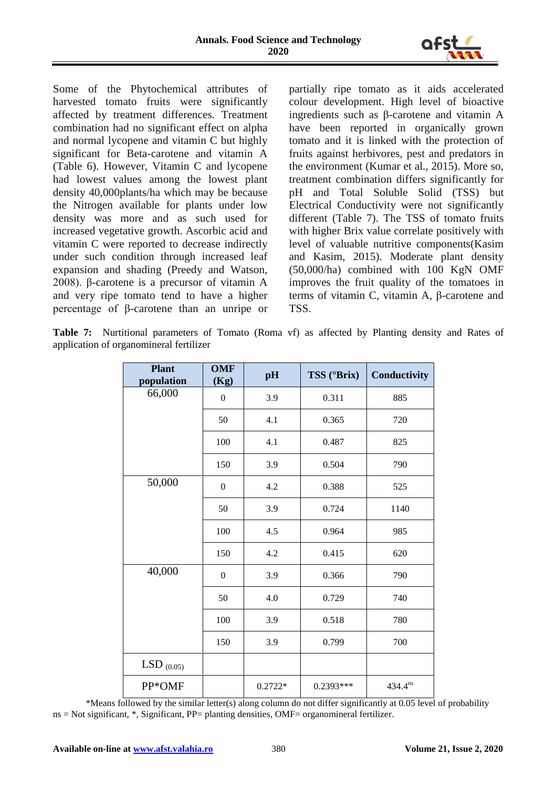

Some of the Phytochemical attributes of harvested tomato fruits were significantly affected by treatment differences. Treatment combination had no significant effect on alpha and normal lycopene and vitamin C but highly significant for Beta-carotene and vitamin A (Table 6). However, Vitamin C and lycopene had lowest values among the lowest plant density 40,000plants/ha which may be because the Nitrogen available for plants under low density was more and as such used for increased vegetative growth. Ascorbic acid and vitamin C were reported to decrease indirectly under such condition through increased leaf expansion and shading (Preedy and Watson, 2008). β-carotene is a precursor of vitamin A and very ripe tomato tend to have a higher percentage of β-carotene than an unripe or partially ripe tomato as it aids accelerated colour development. High level of bioactive ingredients such as β-carotene and vitamin A have been reported in organically grown tomato and it is linked with the protection of fruits against herbivores, pest and predators in the environment (Kumar et al., 2015). More so, treatment combination differs significantly for pH and Total Soluble Solid (TSS) but Electrical Conductivity were not significantly different (Table 7). The TSS of tomato fruits with higher Brix value correlate positively with level of valuable nutritive components(Kasim and Kasim, 2015). Moderate plant density (50,000/ha) combined with 100 KgN OMF improves the fruit quality of the tomatoes in terms of vitamin C, vitamin A, β-carotene and TSS.

Table 7: Nurtitional parameters of Tomato (Roma vf) as affected by Planting density and Rates of application of organomineral fertilizer

| <b>Plant</b><br>population | <b>OMF</b><br>(Kg) | pH        | TSS (°Brix) | Conductivity |
|----------------------------|--------------------|-----------|-------------|--------------|
| 66,000                     | $\boldsymbol{0}$   | 3.9       | 0.311       | 885          |
|                            | 50                 | 4.1       | 0.365       | 720          |
|                            | 100                | 4.1       | 0.487       | 825          |
|                            | 150                | 3.9       | 0.504       | 790          |
| 50,000                     | $\boldsymbol{0}$   | 4.2       | 0.388       | 525          |
|                            | 50                 | 3.9       | 0.724       | 1140         |
|                            | 100                | 4.5       | 0.964       | 985          |
|                            | 150                | 4.2       | 0.415       | 620          |
| 40,000                     | $\boldsymbol{0}$   | 3.9       | 0.366       | 790          |
|                            | 50                 | 4.0       | 0.729       | 740          |
|                            | 100                | 3.9       | 0.518       | 780          |
|                            | 150                | 3.9       | 0.799       | 700          |
| LSD $_{(0.05)}$            |                    |           |             |              |
| PP*OMF                     |                    | $0.2722*$ | $0.2393***$ | $434.4^{ns}$ |

 \*Means followed by the similar letter(s) along column do not differ significantly at 0.05 level of probability ns = Not significant, \*, Significant, PP= planting densities, OMF= organomineral fertilizer.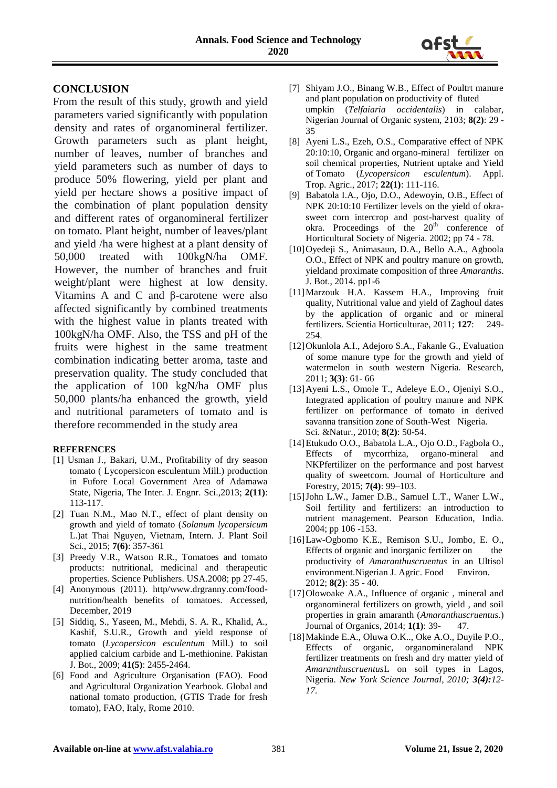

## **CONCLUSION**

From the result of this study, growth and yield parameters varied significantly with population density and rates of organomineral fertilizer. Growth parameters such as plant height, number of leaves, number of branches and yield parameters such as number of days to produce 50% flowering, yield per plant and yield per hectare shows a positive impact of the combination of plant population density and different rates of organomineral fertilizer on tomato. Plant height, number of leaves/plant and yield /ha were highest at a plant density of 50,000 treated with 100kgN/ha OMF. However, the number of branches and fruit weight/plant were highest at low density. Vitamins A and C and β-carotene were also affected significantly by combined treatments with the highest value in plants treated with 100kgN/ha OMF. Also, the TSS and pH of the fruits were highest in the same treatment combination indicating better aroma, taste and preservation quality. The study concluded that the application of 100 kgN/ha OMF plus 50,000 plants/ha enhanced the growth, yield and nutritional parameters of tomato and is therefore recommended in the study area

#### **REFERENCES**

- [1] Usman J., Bakari, U.M., Profitability of dry season tomato ( Lycopersicon esculentum Mill.) production in Fufore Local Government Area of Adamawa State, Nigeria, The Inter. J. Engnr. Sci.,2013; **2(11)**: 113-117.
- [2] Tuan N.M., Mao N.T., effect of plant density on growth and yield of tomato (*Solanum lycopersicum* L.)at Thai Nguyen, Vietnam, Intern. J. Plant Soil Sci., 2015; **7(6)**: 357-361
- [3] Preedy V.R., Watson R.R., Tomatoes and tomato products: nutritional, medicinal and therapeutic properties. Science Publishers. USA.2008; pp 27-45.
- [4] Anonymous (2011). http/www.drgranny.com/foodnutrition/health benefits of tomatoes. Accessed, December, 2019
- [5] Siddiq, S., Yaseen, M., Mehdi, S. A. R., Khalid, A., Kashif, S.U.R., Growth and yield response of tomato (*Lycopersicon esculentum* Mill.) to soil applied calcium carbide and L-methionine. Pakistan J. Bot., 2009; **41(5)**: 2455-2464.
- [6] Food and Agriculture Organisation (FAO). Food and Agricultural Organization Yearbook. Global and national tomato production, (GTIS Trade for fresh tomato), FAO, Italy, Rome 2010.
- [7] Shiyam J.O., Binang W.B., Effect of Poultrt manure and plant population on productivity of fluted umpkin (*Telfaiaria occidentalis*) in calabar, Nigerian Journal of Organic system, 2103; **8(2)**: 29 - 35
- [8] Ayeni L.S., Ezeh, O.S., Comparative effect of NPK 20:10:10, Organic and organo-mineral fertilizer on soil chemical properties, Nutrient uptake and Yield of Tomato (*Lycopersicon esculentum*). Appl. Trop. Agric., 2017; **22(1)**: 111-116.
- [9] Babatola I.A., Ojo, D.O., Adewoyin, O.B., Effect of NPK 20:10:10 Fertilizer levels on the yield of okrasweet corn intercrop and post-harvest quality of okra. Proceedings of the  $20<sup>th</sup>$  conference of Horticultural Society of Nigeria. 2002; pp 74 - 78.
- [10]Oyedeji S., Animasaun, D.A., Bello A.A., Agboola O.O., Effect of NPK and poultry manure on growth, yieldand proximate composition of three *Amaranths*. J. Bot., 2014. pp1-6
- [11]Marzouk H.A. Kassem H.A., Improving fruit quality, Nutritional value and yield of Zaghoul dates by the application of organic and or mineral fertilizers. Scientia Horticulturae, 2011; **127**: 249- 254.
- [12]Okunlola A.I., Adejoro S.A., Fakanle G., Evaluation of some manure type for the growth and yield of watermelon in south western Nigeria. Research, 2011; **3(3)**: 61- 66
- [13]Ayeni L.S., Omole T., Adeleye E.O., Ojeniyi S.O., Integrated application of poultry manure and NPK fertilizer on performance of tomato in derived savanna transition zone of South-West Nigeria. Sci. &Natur., 2010; **8(2)**: 50-54.
- [14]Etukudo O.O., Babatola L.A., Ojo O.D., Fagbola O., Effects of mycorrhiza, organo-mineral and NKPfertilizer on the performance and post harvest quality of sweetcorn. Journal of Horticulture and Forestry, 2015; **7(4)**: 99–103.
- [15]John L.W., Jamer D.B., Samuel L.T., Waner L.W., Soil fertility and fertilizers: an introduction to nutrient management. Pearson Education, India. 2004; pp 106 -153.
- [16]Law-Ogbomo K.E., Remison S.U., Jombo, E. O., Effects of organic and inorganic fertilizer on the productivity of *Amaranthuscruentus* in an Ultisol environment.Nigerian J. Agric. Food Environ. 2012; **8(2)**: 35 - 40.
- [17]Olowoake A.A., Influence of organic, mineral and organomineral fertilizers on growth, yield , and soil properties in grain amaranth (*Amaranthuscruentus*.) Journal of Organics, 2014; **1(1)**: 39- 47.
- [18]Makinde E.A., Oluwa O.K.., Oke A.O., Duyile P.O., Effects of organic, organomineraland NPK fertilizer treatments on fresh and dry matter yield of *Amaranthuscruentus*L on soil types in Lagos, Nigeria. *New York Science Journal, 2010; 3(4):12- 17.*